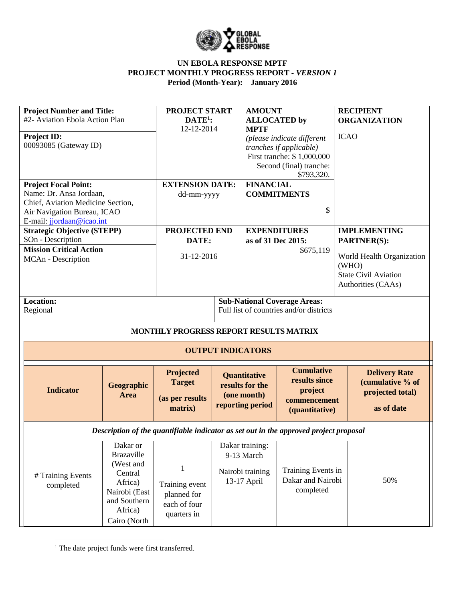

| <b>Project Number and Title:</b><br>#2- Aviation Ebola Action Plan<br>Project ID:<br>00093085 (Gateway ID)                                                                                    |                                                                                                                              | PROJECT START<br>$DATE1$ :<br>12-12-2014                          | <b>AMOUNT</b><br><b>ALLOCATED</b> by<br><b>MPTF</b>                | (please indicate different<br>tranches if applicable)<br>First tranche: \$1,000,000      | <b>RECIPIENT</b><br><b>ICAO</b> | <b>ORGANIZATION</b>                                                            |
|-----------------------------------------------------------------------------------------------------------------------------------------------------------------------------------------------|------------------------------------------------------------------------------------------------------------------------------|-------------------------------------------------------------------|--------------------------------------------------------------------|------------------------------------------------------------------------------------------|---------------------------------|--------------------------------------------------------------------------------|
| <b>Project Focal Point:</b><br>Name: Dr. Ansa Jordaan,<br>Chief, Aviation Medicine Section,<br>Air Navigation Bureau, ICAO<br>E-mail: jjordaan@icao.int<br><b>Strategic Objective (STEPP)</b> |                                                                                                                              | <b>EXTENSION DATE:</b><br>dd-mm-yyyy<br><b>PROJECTED END</b>      | <b>FINANCIAL</b>                                                   | Second (final) tranche:<br>\$793,320.<br><b>COMMITMENTS</b><br>\$<br><b>EXPENDITURES</b> |                                 | <b>IMPLEMENTING</b>                                                            |
| SOn - Description<br><b>Mission Critical Action</b><br>MCAn - Description                                                                                                                     |                                                                                                                              | DATE:<br>31-12-2016                                               | as of 31 Dec 2015:                                                 | \$675,119                                                                                | PARTNER(S):<br>(WHO)            | World Health Organization<br><b>State Civil Aviation</b><br>Authorities (CAAs) |
| <b>Location:</b><br>Regional                                                                                                                                                                  |                                                                                                                              |                                                                   |                                                                    | <b>Sub-National Coverage Areas:</b><br>Full list of countries and/or districts           |                                 |                                                                                |
|                                                                                                                                                                                               |                                                                                                                              | MONTHLY PROGRESS REPORT RESULTS MATRIX                            |                                                                    |                                                                                          |                                 |                                                                                |
|                                                                                                                                                                                               |                                                                                                                              |                                                                   | <b>OUTPUT INDICATORS</b>                                           |                                                                                          |                                 |                                                                                |
| <b>Indicator</b>                                                                                                                                                                              | Geographic<br>Area                                                                                                           | Projected<br><b>Target</b><br>(as per results<br>matrix)          | Quantitative<br>results for the<br>(one month)<br>reporting period | <b>Cumulative</b><br>results since<br>project<br>commencement<br>(quantitative)          |                                 | <b>Delivery Rate</b><br>(cumulative % of<br>projected total)<br>as of date     |
|                                                                                                                                                                                               |                                                                                                                              |                                                                   |                                                                    | Description of the quantifiable indicator as set out in the approved project proposal    |                                 |                                                                                |
| # Training Events<br>completed                                                                                                                                                                | Dakar or<br><b>Brazaville</b><br>(West and<br>Central<br>Africa)<br>Nairobi (East<br>and Southern<br>Africa)<br>Cairo (North | 1<br>Training event<br>planned for<br>each of four<br>quarters in | Dakar training:<br>9-13 March<br>Nairobi training<br>13-17 April   | Training Events in<br>Dakar and Nairobi<br>completed                                     |                                 | 50%                                                                            |

<sup>1</sup> The date project funds were first transferred.

 $\overline{\phantom{a}}$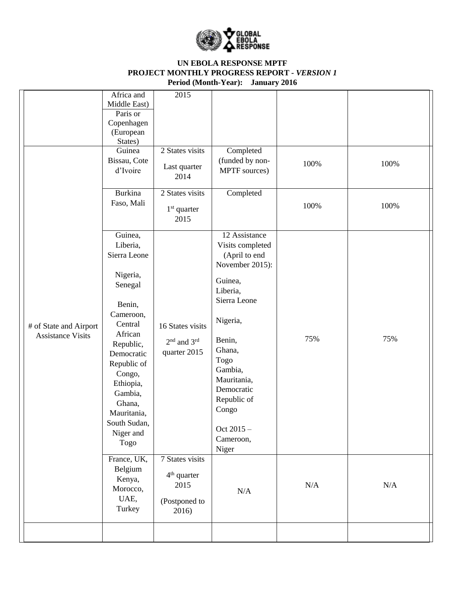

|                                                    | Africa and<br>Middle East)<br>Paris or<br>Copenhagen<br>(European<br>States)<br>Guinea<br>Bissau, Cote<br>d'Ivoire<br>Burkina                                                                                                                                               | 2015<br>2 States visits<br>Last quarter<br>2014<br>2 States visits                                          | Completed<br>(funded by non-<br>MPTF sources)<br>Completed                                                                                                                                                                                               | 100%      | 100%      |
|----------------------------------------------------|-----------------------------------------------------------------------------------------------------------------------------------------------------------------------------------------------------------------------------------------------------------------------------|-------------------------------------------------------------------------------------------------------------|----------------------------------------------------------------------------------------------------------------------------------------------------------------------------------------------------------------------------------------------------------|-----------|-----------|
|                                                    | Faso, Mali                                                                                                                                                                                                                                                                  | $1st$ quarter<br>2015                                                                                       |                                                                                                                                                                                                                                                          | 100%      | 100%      |
| # of State and Airport<br><b>Assistance Visits</b> | Guinea,<br>Liberia,<br>Sierra Leone<br>Nigeria,<br>Senegal<br>Benin,<br>Cameroon,<br>Central<br>African<br>Republic,<br>Democratic<br>Republic of<br>Congo,<br>Ethiopia,<br>Gambia,<br>Ghana,<br>Mauritania,<br>South Sudan,<br>Niger and<br>Togo<br>France, UK,<br>Belgium | 16 States visits<br>2 <sup>nd</sup> and 3 <sup>rd</sup><br>quarter 2015<br>7 States visits<br>$4th$ quarter | 12 Assistance<br>Visits completed<br>(April to end<br>November 2015):<br>Guinea,<br>Liberia,<br>Sierra Leone<br>Nigeria,<br>Benin,<br>Ghana,<br>Togo<br>Gambia,<br>Mauritania,<br>Democratic<br>Republic of<br>Congo<br>Oct 2015 -<br>Cameroon,<br>Niger | 75%       | 75%       |
|                                                    | Kenya,<br>Morocco,<br>UAE,<br>Turkey                                                                                                                                                                                                                                        | 2015<br>(Postponed to<br>2016)                                                                              | $\rm N/A$                                                                                                                                                                                                                                                | $\rm N/A$ | $\rm N/A$ |
|                                                    |                                                                                                                                                                                                                                                                             |                                                                                                             |                                                                                                                                                                                                                                                          |           |           |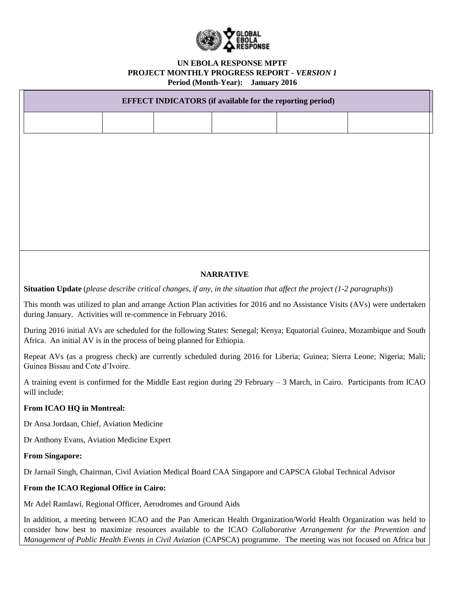

# **EFFECT INDICATORS (if available for the reporting period) NARRATIVE Situation Update** (*please describe critical changes, if any, in the situation that affect the project (1-2 paragraphs*)) This month was utilized to plan and arrange Action Plan activities for 2016 and no Assistance Visits (AVs) were undertaken during January. Activities will re-commence in February 2016. During 2016 initial AVs are scheduled for the following States: Senegal; Kenya; Equatorial Guinea, Mozambique and South Africa. An initial AV is in the process of being planned for Ethiopia. Repeat AVs (as a progress check) are currently scheduled during 2016 for Liberia; Guinea; Sierra Leone; Nigeria; Mali; Guinea Bissau and Cote d'Ivoire. A training event is confirmed for the Middle East region during 29 February – 3 March, in Cairo. Participants from ICAO will include: **From ICAO HQ in Montreal:** Dr Ansa Jordaan, Chief, Aviation Medicine Dr Anthony Evans, Aviation Medicine Expert **From Singapore:** Dr Jarnail Singh, Chairman, Civil Aviation Medical Board CAA Singapore and CAPSCA Global Technical Advisor **From the ICAO Regional Office in Cairo:** Mr Adel Ramlawi, Regional Officer, Aerodromes and Ground Aids In addition, a meeting between ICAO and the Pan American Health Organization/World Health Organization was held to

consider how best to maximize resources available to the ICAO *Collaborative Arrangement for the Prevention and Management of Public Health Events in Civil Aviation* (CAPSCA) programme. The meeting was not focused on Africa but